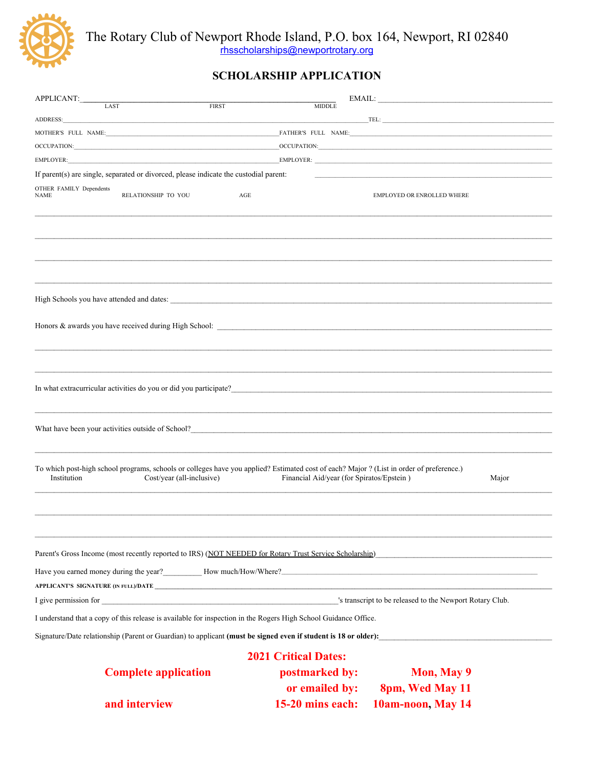

The Rotary Club of Newport Rhode Island, P.O. box 164, Newport, RI 02840<br>
<u>thsscholarships@newportrotary.org</u>

# **SCHOLARSHIP APPLICATION**

| APPLICANT:                             |                                                                                       |                                                                                                                                                                                                                                  | $EMAIL:$                                                                                                                                                                                                                       |       |
|----------------------------------------|---------------------------------------------------------------------------------------|----------------------------------------------------------------------------------------------------------------------------------------------------------------------------------------------------------------------------------|--------------------------------------------------------------------------------------------------------------------------------------------------------------------------------------------------------------------------------|-------|
|                                        | <b>LAST</b><br><b>FIRST</b>                                                           | <b>MIDDLE</b>                                                                                                                                                                                                                    |                                                                                                                                                                                                                                |       |
| ADDRESS:                               |                                                                                       |                                                                                                                                                                                                                                  |                                                                                                                                                                                                                                |       |
|                                        |                                                                                       |                                                                                                                                                                                                                                  | MOTHER'S FULL NAME: FATHER'S FULL NAME:                                                                                                                                                                                        |       |
|                                        |                                                                                       |                                                                                                                                                                                                                                  |                                                                                                                                                                                                                                |       |
|                                        |                                                                                       |                                                                                                                                                                                                                                  | EMPLOYER: EMPLOYER: EMPLOYER: EMPLOYER: A SALE OF THE SERVICE OF THE SERVICE OF THE SERVICE OF THE SERVICE OF THE SERVICE OF THE SERVICE OF THE SERVICE OF THE SERVICE OF THE SERVICE OF THE SERVICE OF THE SERVICE OF THE SER |       |
|                                        | If parent(s) are single, separated or divorced, please indicate the custodial parent: |                                                                                                                                                                                                                                  |                                                                                                                                                                                                                                |       |
| OTHER FAMILY Dependents<br><b>NAME</b> | RELATIONSHIP TO YOU                                                                   | AGE                                                                                                                                                                                                                              | EMPLOYED OR ENROLLED WHERE                                                                                                                                                                                                     |       |
|                                        |                                                                                       |                                                                                                                                                                                                                                  |                                                                                                                                                                                                                                |       |
|                                        |                                                                                       |                                                                                                                                                                                                                                  |                                                                                                                                                                                                                                |       |
|                                        |                                                                                       |                                                                                                                                                                                                                                  |                                                                                                                                                                                                                                |       |
|                                        |                                                                                       |                                                                                                                                                                                                                                  |                                                                                                                                                                                                                                |       |
|                                        |                                                                                       |                                                                                                                                                                                                                                  |                                                                                                                                                                                                                                |       |
|                                        |                                                                                       |                                                                                                                                                                                                                                  |                                                                                                                                                                                                                                |       |
|                                        |                                                                                       |                                                                                                                                                                                                                                  |                                                                                                                                                                                                                                |       |
|                                        |                                                                                       |                                                                                                                                                                                                                                  |                                                                                                                                                                                                                                |       |
|                                        |                                                                                       |                                                                                                                                                                                                                                  |                                                                                                                                                                                                                                |       |
|                                        |                                                                                       |                                                                                                                                                                                                                                  |                                                                                                                                                                                                                                |       |
|                                        |                                                                                       |                                                                                                                                                                                                                                  |                                                                                                                                                                                                                                |       |
|                                        |                                                                                       |                                                                                                                                                                                                                                  |                                                                                                                                                                                                                                |       |
|                                        |                                                                                       | In what extracurricular activities do you or did you participate?<br>The state of the state of the state of the state of the state of the state of the state of the state of the state of the state of the state of the state of |                                                                                                                                                                                                                                |       |
|                                        |                                                                                       |                                                                                                                                                                                                                                  |                                                                                                                                                                                                                                |       |
|                                        |                                                                                       | What have been your activities outside of School?                                                                                                                                                                                |                                                                                                                                                                                                                                |       |
|                                        |                                                                                       |                                                                                                                                                                                                                                  |                                                                                                                                                                                                                                |       |
|                                        |                                                                                       |                                                                                                                                                                                                                                  |                                                                                                                                                                                                                                |       |
|                                        |                                                                                       | To which post-high school programs, schools or colleges have you applied? Estimated cost of each? Major ? (List in order of preference.)                                                                                         |                                                                                                                                                                                                                                |       |
| Institution                            | Cost/year (all-inclusive)                                                             | Financial Aid/year (for Spiratos/Epstein)                                                                                                                                                                                        |                                                                                                                                                                                                                                | Major |
|                                        |                                                                                       |                                                                                                                                                                                                                                  |                                                                                                                                                                                                                                |       |
|                                        |                                                                                       |                                                                                                                                                                                                                                  |                                                                                                                                                                                                                                |       |
|                                        |                                                                                       |                                                                                                                                                                                                                                  |                                                                                                                                                                                                                                |       |
|                                        |                                                                                       |                                                                                                                                                                                                                                  |                                                                                                                                                                                                                                |       |
|                                        |                                                                                       |                                                                                                                                                                                                                                  | Parent's Gross Income (most recently reported to IRS) (NOT NEEDED for Rotary Trust Service Scholarship)                                                                                                                        |       |
|                                        |                                                                                       |                                                                                                                                                                                                                                  | Have you earned money during the year?<br>Mow much/How/Where? <u> How much/How/Where?</u>                                                                                                                                      |       |
|                                        |                                                                                       |                                                                                                                                                                                                                                  |                                                                                                                                                                                                                                |       |
|                                        |                                                                                       |                                                                                                                                                                                                                                  |                                                                                                                                                                                                                                |       |
|                                        |                                                                                       | I understand that a copy of this release is available for inspection in the Rogers High School Guidance Office.                                                                                                                  |                                                                                                                                                                                                                                |       |
|                                        |                                                                                       |                                                                                                                                                                                                                                  | Signature/Date relationship (Parent or Guardian) to applicant (must be signed even if student is 18 or older):                                                                                                                 |       |
|                                        |                                                                                       | <b>2021 Critical Dates:</b>                                                                                                                                                                                                      |                                                                                                                                                                                                                                |       |
|                                        |                                                                                       |                                                                                                                                                                                                                                  |                                                                                                                                                                                                                                |       |
|                                        | <b>Complete application</b>                                                           | postmarked by:                                                                                                                                                                                                                   | Mon, May 9                                                                                                                                                                                                                     |       |
|                                        |                                                                                       | or emailed by:                                                                                                                                                                                                                   | 8pm, Wed May 11                                                                                                                                                                                                                |       |
|                                        | and interview                                                                         | 15-20 mins each:                                                                                                                                                                                                                 | 10am-noon, May 14                                                                                                                                                                                                              |       |
|                                        |                                                                                       |                                                                                                                                                                                                                                  |                                                                                                                                                                                                                                |       |